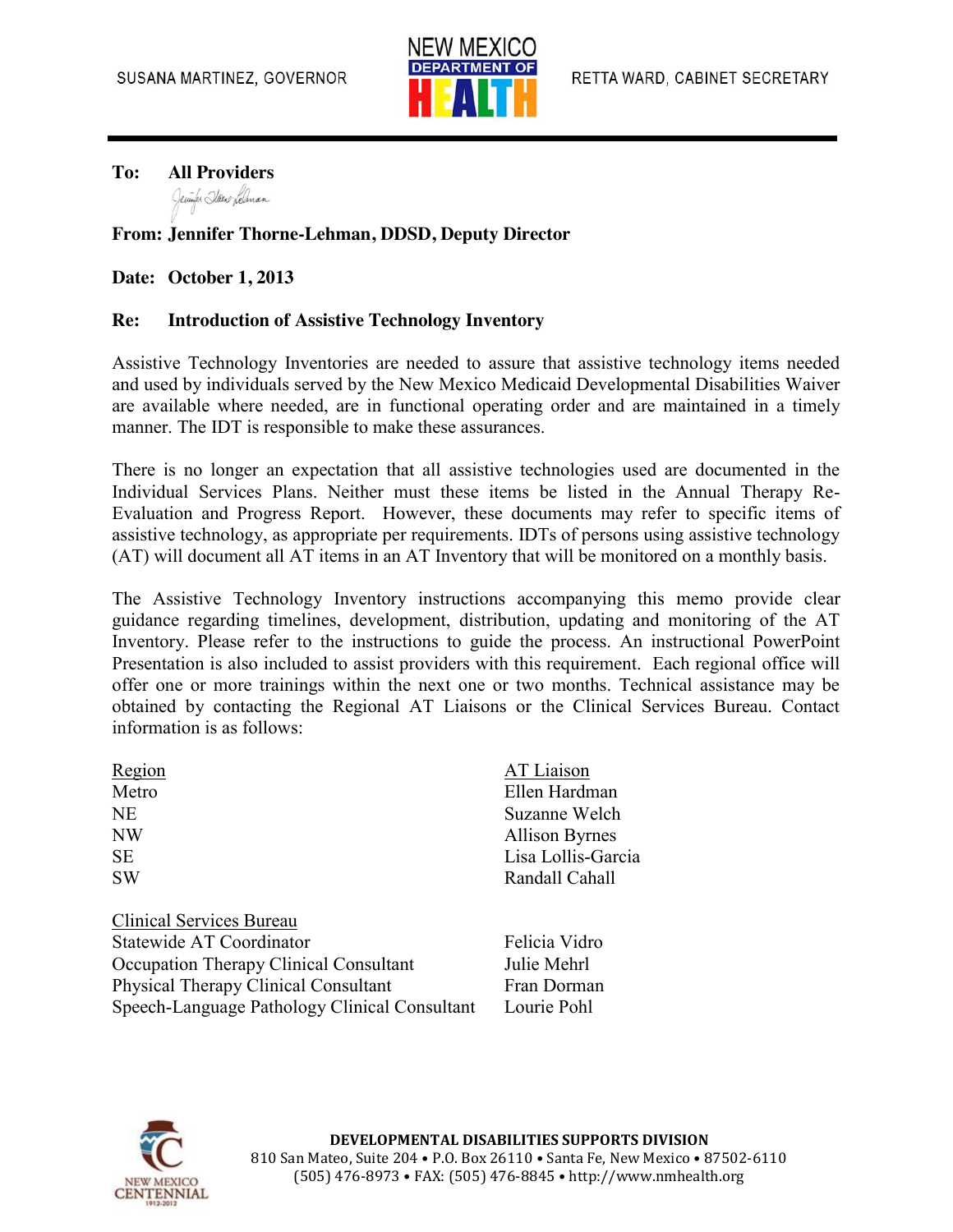

**To: All Providers** Jeuner Hano Lelman

## **From: Jennifer Thorne-Lehman, DDSD, Deputy Director**

## **Date: October 1, 2013**

## **Re: Introduction of Assistive Technology Inventory**

Assistive Technology Inventories are needed to assure that assistive technology items needed and used by individuals served by the New Mexico Medicaid Developmental Disabilities Waiver are available where needed, are in functional operating order and are maintained in a timely manner. The IDT is responsible to make these assurances.

There is no longer an expectation that all assistive technologies used are documented in the Individual Services Plans. Neither must these items be listed in the Annual Therapy Re-Evaluation and Progress Report. However, these documents may refer to specific items of assistive technology, as appropriate per requirements. IDTs of persons using assistive technology (AT) will document all AT items in an AT Inventory that will be monitored on a monthly basis.

The Assistive Technology Inventory instructions accompanying this memo provide clear guidance regarding timelines, development, distribution, updating and monitoring of the AT Inventory. Please refer to the instructions to guide the process. An instructional PowerPoint Presentation is also included to assist providers with this requirement. Each regional office will offer one or more trainings within the next one or two months. Technical assistance may be obtained by contacting the Regional AT Liaisons or the Clinical Services Bureau. Contact information is as follows:

| Region                   | AT Liaison            |
|--------------------------|-----------------------|
| Metro                    | Ellen Hardman         |
| <b>NE</b>                | Suzanne Welch         |
| <b>NW</b>                | <b>Allison Byrnes</b> |
| <b>SE</b>                | Lisa Lollis-Garcia    |
| <b>SW</b>                | Randall Cahall        |
| Clinical Services Bureau |                       |
| Statewide AT Coordinator | Eoliois Vidro         |

Statewide AT Coordinator Felicia Vidro Occupation Therapy Clinical Consultant Julie Mehrl Physical Therapy Clinical Consultant Fran Dorman Speech-Language Pathology Clinical Consultant Lourie Pohl